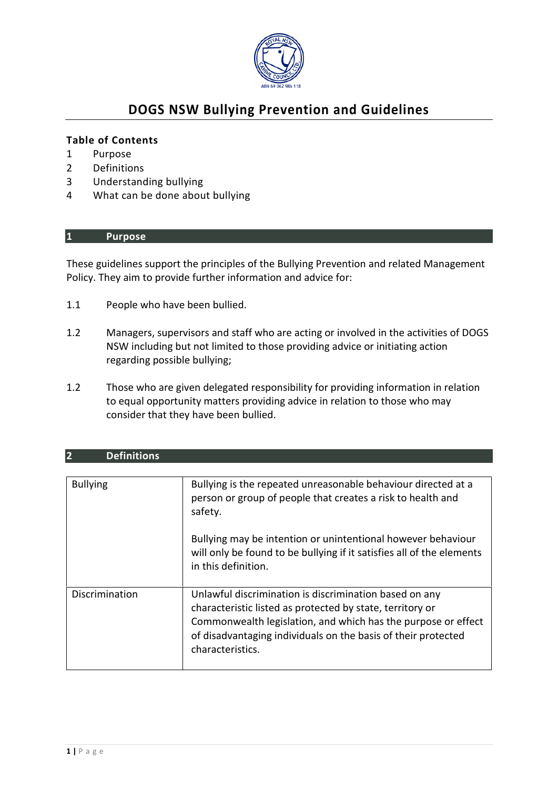

# **DOGS NSW Bullying Prevention and Guidelines**

#### **Table of Contents**

- 1 Purpose
- 2 Definitions
- 3 Understanding bullying
- 4 What can be done about bullying

#### **1 Purpose**

These guidelines support the principles of the Bullying Prevention and related Management Policy. They aim to provide further information and advice for:

1.1 People who have been bullied.

**2 Definitions** 

- 1.2 Managers, supervisors and staff who are acting or involved in the activities of DOGS NSW including but not limited to those providing advice or initiating action regarding possible bullying;
- 1.2 Those who are given delegated responsibility for providing information in relation to equal opportunity matters providing advice in relation to those who may consider that they have been bullied.

| $\mathbf{z}$<br>Dennitions |                                                                                                                                                                                                                                                                                                         |
|----------------------------|---------------------------------------------------------------------------------------------------------------------------------------------------------------------------------------------------------------------------------------------------------------------------------------------------------|
| <b>Bullying</b>            | Bullying is the repeated unreasonable behaviour directed at a<br>person or group of people that creates a risk to health and<br>safety.<br>Bullying may be intention or unintentional however behaviour<br>will only be found to be bullying if it satisfies all of the elements<br>in this definition. |
| Discrimination             | Unlawful discrimination is discrimination based on any<br>characteristic listed as protected by state, territory or<br>Commonwealth legislation, and which has the purpose or effect<br>of disadvantaging individuals on the basis of their protected<br>characteristics.                               |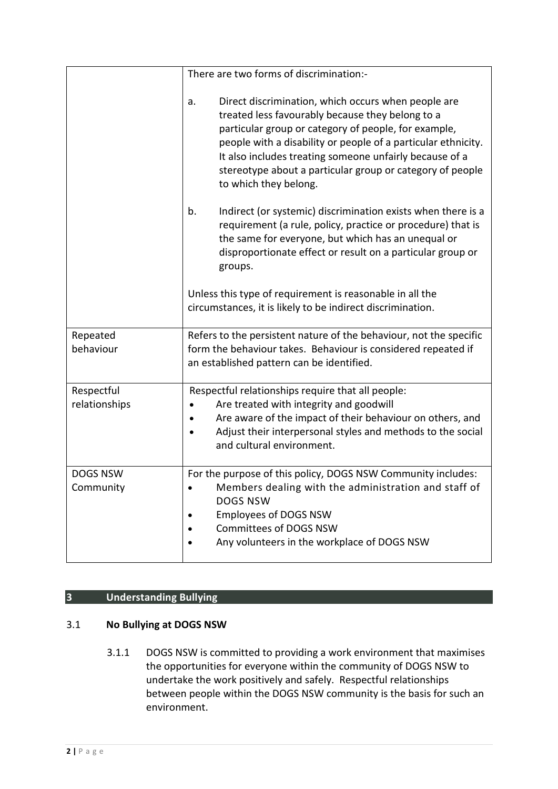|                              | There are two forms of discrimination:-                                                                                                                                                                                                                                                                                                                                                 |
|------------------------------|-----------------------------------------------------------------------------------------------------------------------------------------------------------------------------------------------------------------------------------------------------------------------------------------------------------------------------------------------------------------------------------------|
|                              | Direct discrimination, which occurs when people are<br>a.<br>treated less favourably because they belong to a<br>particular group or category of people, for example,<br>people with a disability or people of a particular ethnicity.<br>It also includes treating someone unfairly because of a<br>stereotype about a particular group or category of people<br>to which they belong. |
|                              | b.<br>Indirect (or systemic) discrimination exists when there is a<br>requirement (a rule, policy, practice or procedure) that is<br>the same for everyone, but which has an unequal or<br>disproportionate effect or result on a particular group or<br>groups.                                                                                                                        |
|                              | Unless this type of requirement is reasonable in all the<br>circumstances, it is likely to be indirect discrimination.                                                                                                                                                                                                                                                                  |
| Repeated<br>behaviour        | Refers to the persistent nature of the behaviour, not the specific<br>form the behaviour takes. Behaviour is considered repeated if<br>an established pattern can be identified.                                                                                                                                                                                                        |
| Respectful<br>relationships  | Respectful relationships require that all people:<br>Are treated with integrity and goodwill<br>Are aware of the impact of their behaviour on others, and<br>$\bullet$<br>Adjust their interpersonal styles and methods to the social<br>$\bullet$<br>and cultural environment.                                                                                                         |
| <b>DOGS NSW</b><br>Community | For the purpose of this policy, DOGS NSW Community includes:<br>Members dealing with the administration and staff of<br><b>DOGS NSW</b><br><b>Employees of DOGS NSW</b><br>Committees of DOGS NSW<br>Any volunteers in the workplace of DOGS NSW                                                                                                                                        |

## **3 Understanding Bullying**

## 3.1 **No Bullying at DOGS NSW**

3.1.1 DOGS NSW is committed to providing a work environment that maximises the opportunities for everyone within the community of DOGS NSW to undertake the work positively and safely. Respectful relationships between people within the DOGS NSW community is the basis for such an environment.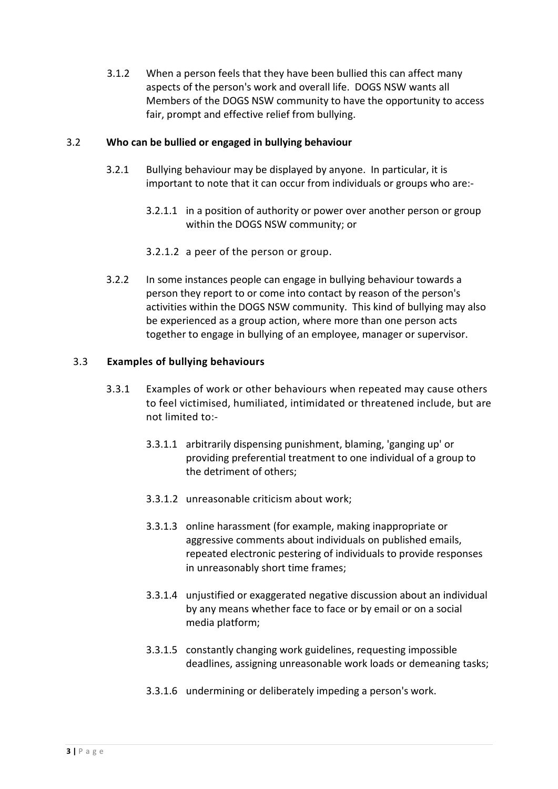3.1.2 When a person feels that they have been bullied this can affect many aspects of the person's work and overall life. DOGS NSW wants all Members of the DOGS NSW community to have the opportunity to access fair, prompt and effective relief from bullying.

#### 3.2 **Who can be bullied or engaged in bullying behaviour**

- 3.2.1 Bullying behaviour may be displayed by anyone. In particular, it is important to note that it can occur from individuals or groups who are:-
	- 3.2.1.1 in a position of authority or power over another person or group within the DOGS NSW community; or
	- 3.2.1.2 a peer of the person or group.
- 3.2.2 In some instances people can engage in bullying behaviour towards a person they report to or come into contact by reason of the person's activities within the DOGS NSW community. This kind of bullying may also be experienced as a group action, where more than one person acts together to engage in bullying of an employee, manager or supervisor.

#### 3.3 **Examples of bullying behaviours**

- 3.3.1 Examples of work or other behaviours when repeated may cause others to feel victimised, humiliated, intimidated or threatened include, but are not limited to:-
	- 3.3.1.1 arbitrarily dispensing punishment, blaming, 'ganging up' or providing preferential treatment to one individual of a group to the detriment of others;
	- 3.3.1.2 unreasonable criticism about work;
	- 3.3.1.3 online harassment (for example, making inappropriate or aggressive comments about individuals on published emails, repeated electronic pestering of individuals to provide responses in unreasonably short time frames;
	- 3.3.1.4 unjustified or exaggerated negative discussion about an individual by any means whether face to face or by email or on a social media platform;
	- 3.3.1.5 constantly changing work guidelines, requesting impossible deadlines, assigning unreasonable work loads or demeaning tasks;
	- 3.3.1.6 undermining or deliberately impeding a person's work.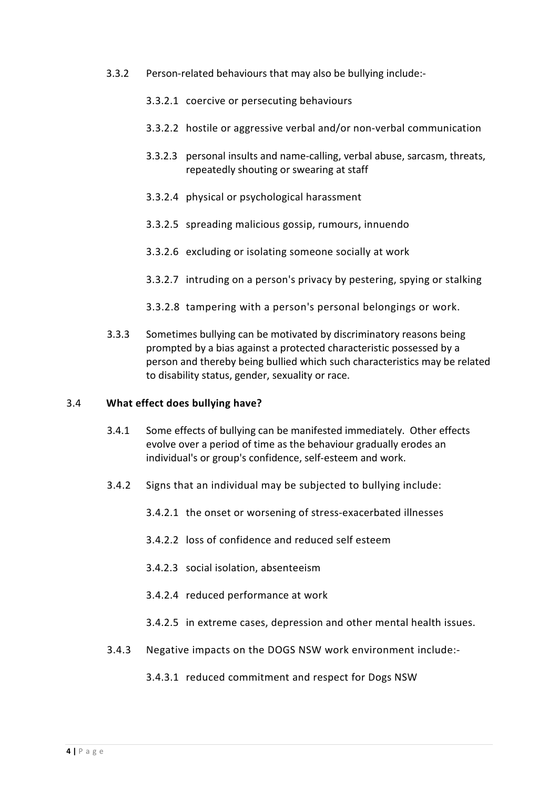- 3.3.2 Person-related behaviours that may also be bullying include:-
	- 3.3.2.1 coercive or persecuting behaviours
	- 3.3.2.2 hostile or aggressive verbal and/or non-verbal communication
	- 3.3.2.3 personal insults and name-calling, verbal abuse, sarcasm, threats, repeatedly shouting or swearing at staff
	- 3.3.2.4 physical or psychological harassment
	- 3.3.2.5 spreading malicious gossip, rumours, innuendo
	- 3.3.2.6 excluding or isolating someone socially at work
	- 3.3.2.7 intruding on a person's privacy by pestering, spying or stalking
	- 3.3.2.8 tampering with a person's personal belongings or work.
- 3.3.3 Sometimes bullying can be motivated by discriminatory reasons being prompted by a bias against a protected characteristic possessed by a person and thereby being bullied which such characteristics may be related to disability status, gender, sexuality or race.

#### 3.4 **What effect does bullying have?**

- 3.4.1 Some effects of bullying can be manifested immediately. Other effects evolve over a period of time as the behaviour gradually erodes an individual's or group's confidence, self-esteem and work.
- 3.4.2 Signs that an individual may be subjected to bullying include:
	- 3.4.2.1 the onset or worsening of stress-exacerbated illnesses
	- 3.4.2.2 loss of confidence and reduced self esteem
	- 3.4.2.3 social isolation, absenteeism
	- 3.4.2.4 reduced performance at work
	- 3.4.2.5 in extreme cases, depression and other mental health issues.
- 3.4.3 Negative impacts on the DOGS NSW work environment include:-
	- 3.4.3.1 reduced commitment and respect for Dogs NSW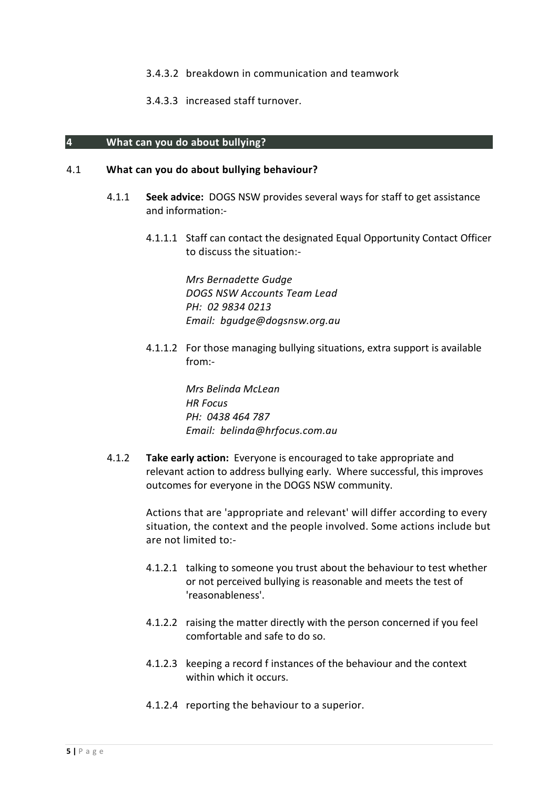- 3.4.3.2 breakdown in communication and teamwork
- 3.4.3.3 increased staff turnover.

#### **4 What can you do about bullying?**

#### 4.1 **What can you do about bullying behaviour?**

- 4.1.1 **Seek advice:** DOGS NSW provides several ways for staff to get assistance and information:-
	- 4.1.1.1 Staff can contact the designated Equal Opportunity Contact Officer to discuss the situation:-

*Mrs Bernadette Gudge DOGS NSW Accounts Team Lead PH: 02 9834 0213 Email: bgudge@dogsnsw.org.au* 

4.1.1.2 For those managing bullying situations, extra support is available from:-

> *Mrs Belinda McLean HR Focus PH: 0438 464 787 Email: belinda@hrfocus.com.au*

4.1.2 **Take early action:** Everyone is encouraged to take appropriate and relevant action to address bullying early. Where successful, this improves outcomes for everyone in the DOGS NSW community.

> Actions that are 'appropriate and relevant' will differ according to every situation, the context and the people involved. Some actions include but are not limited to:-

- 4.1.2.1 talking to someone you trust about the behaviour to test whether or not perceived bullying is reasonable and meets the test of 'reasonableness'.
- 4.1.2.2 raising the matter directly with the person concerned if you feel comfortable and safe to do so.
- 4.1.2.3 keeping a record f instances of the behaviour and the context within which it occurs.
- 4.1.2.4 reporting the behaviour to a superior.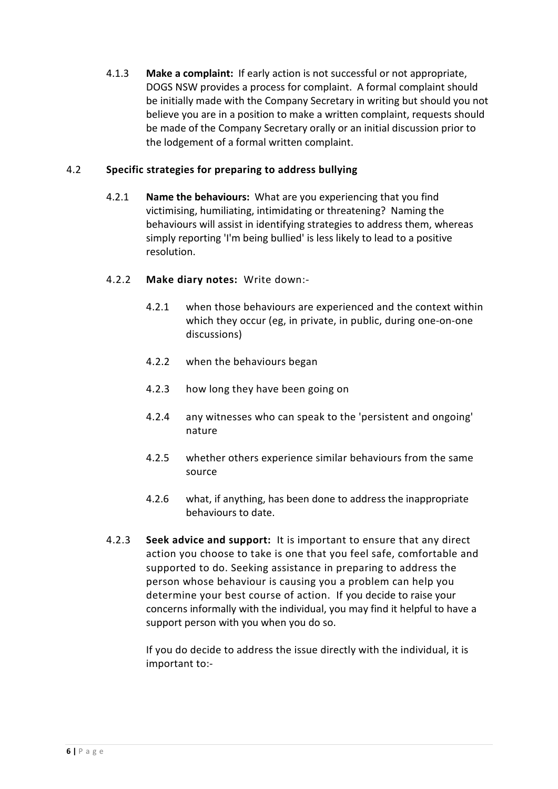4.1.3 **Make a complaint:** If early action is not successful or not appropriate, DOGS NSW provides a process for complaint. A formal complaint should be initially made with the Company Secretary in writing but should you not believe you are in a position to make a written complaint, requests should be made of the Company Secretary orally or an initial discussion prior to the lodgement of a formal written complaint.

### 4.2 **Specific strategies for preparing to address bullying**

- 4.2.1 **Name the behaviours:** What are you experiencing that you find victimising, humiliating, intimidating or threatening? Naming the behaviours will assist in identifying strategies to address them, whereas simply reporting 'I'm being bullied' is less likely to lead to a positive resolution.
- 4.2.2 **Make diary notes:** Write down:-
	- 4.2.1 when those behaviours are experienced and the context within which they occur (eg, in private, in public, during one-on-one discussions)
	- 4.2.2 when the behaviours began
	- 4.2.3 how long they have been going on
	- 4.2.4 any witnesses who can speak to the 'persistent and ongoing' nature
	- 4.2.5 whether others experience similar behaviours from the same source
	- 4.2.6 what, if anything, has been done to address the inappropriate behaviours to date.
- 4.2.3 **Seek advice and support:** It is important to ensure that any direct action you choose to take is one that you feel safe, comfortable and supported to do. Seeking assistance in preparing to address the person whose behaviour is causing you a problem can help you determine your best course of action. If you decide to raise your concerns informally with the individual, you may find it helpful to have a support person with you when you do so.

If you do decide to address the issue directly with the individual, it is important to:-